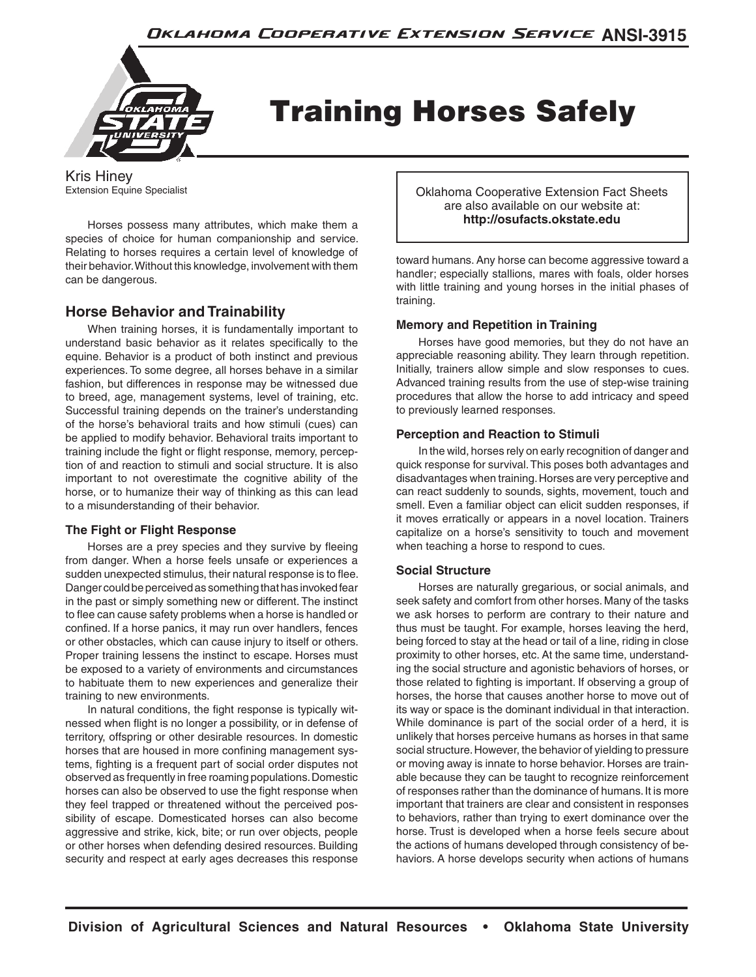

# Training Horses Safely

Kris Hiney Extension Equine Specialist

Horses possess many attributes, which make them a species of choice for human companionship and service. Relating to horses requires a certain level of knowledge of their behavior. Without this knowledge, involvement with them can be dangerous.

# **Horse Behavior and Trainability**

When training horses, it is fundamentally important to understand basic behavior as it relates specifically to the equine. Behavior is a product of both instinct and previous experiences. To some degree, all horses behave in a similar fashion, but differences in response may be witnessed due to breed, age, management systems, level of training, etc. Successful training depends on the trainer's understanding of the horse's behavioral traits and how stimuli (cues) can be applied to modify behavior. Behavioral traits important to training include the fight or flight response, memory, perception of and reaction to stimuli and social structure. It is also important to not overestimate the cognitive ability of the horse, or to humanize their way of thinking as this can lead to a misunderstanding of their behavior.

## **The Fight or Flight Response**

Horses are a prey species and they survive by fleeing from danger. When a horse feels unsafe or experiences a sudden unexpected stimulus, their natural response is to flee. Danger could be perceived as something that has invoked fear in the past or simply something new or different. The instinct to flee can cause safety problems when a horse is handled or confined. If a horse panics, it may run over handlers, fences or other obstacles, which can cause injury to itself or others. Proper training lessens the instinct to escape. Horses must be exposed to a variety of environments and circumstances to habituate them to new experiences and generalize their training to new environments.

In natural conditions, the fight response is typically witnessed when flight is no longer a possibility, or in defense of territory, offspring or other desirable resources. In domestic horses that are housed in more confining management systems, fighting is a frequent part of social order disputes not observed as frequently in free roaming populations. Domestic horses can also be observed to use the fight response when they feel trapped or threatened without the perceived possibility of escape. Domesticated horses can also become aggressive and strike, kick, bite; or run over objects, people or other horses when defending desired resources. Building security and respect at early ages decreases this response Oklahoma Cooperative Extension Fact Sheets are also available on our website at: **http://osufacts.okstate.edu**

toward humans. Any horse can become aggressive toward a handler; especially stallions, mares with foals, older horses with little training and young horses in the initial phases of training.

## **Memory and Repetition in Training**

Horses have good memories, but they do not have an appreciable reasoning ability. They learn through repetition. Initially, trainers allow simple and slow responses to cues. Advanced training results from the use of step-wise training procedures that allow the horse to add intricacy and speed to previously learned responses.

## **Perception and Reaction to Stimuli**

In the wild, horses rely on early recognition of danger and quick response for survival. This poses both advantages and disadvantages when training. Horses are very perceptive and can react suddenly to sounds, sights, movement, touch and smell. Even a familiar object can elicit sudden responses, if it moves erratically or appears in a novel location. Trainers capitalize on a horse's sensitivity to touch and movement when teaching a horse to respond to cues.

## **Social Structure**

Horses are naturally gregarious, or social animals, and seek safety and comfort from other horses. Many of the tasks we ask horses to perform are contrary to their nature and thus must be taught. For example, horses leaving the herd, being forced to stay at the head or tail of a line, riding in close proximity to other horses, etc. At the same time, understanding the social structure and agonistic behaviors of horses, or those related to fighting is important. If observing a group of horses, the horse that causes another horse to move out of its way or space is the dominant individual in that interaction. While dominance is part of the social order of a herd, it is unlikely that horses perceive humans as horses in that same social structure. However, the behavior of yielding to pressure or moving away is innate to horse behavior. Horses are trainable because they can be taught to recognize reinforcement of responses rather than the dominance of humans. It is more important that trainers are clear and consistent in responses to behaviors, rather than trying to exert dominance over the horse. Trust is developed when a horse feels secure about the actions of humans developed through consistency of behaviors. A horse develops security when actions of humans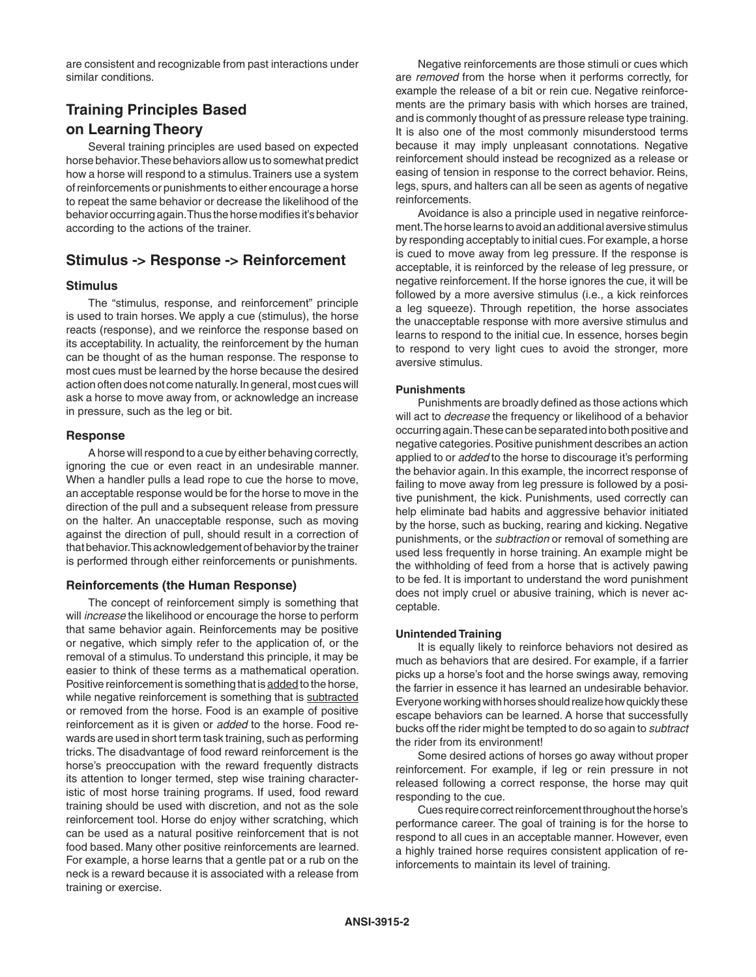are consistent and recognizable from past interactions under similar conditions.

# **Training Principles Based on Learning Theory**

Several training principles are used based on expected horse behavior. These behaviors allow us to somewhat predict how a horse will respond to a stimulus. Trainers use a system of reinforcements or punishments to either encourage a horse to repeat the same behavior or decrease the likelihood of the behavior occurring again. Thus the horse modifies it's behavior according to the actions of the trainer.

# **Stimulus -> Response -> Reinforcement**

#### **Stimulus**

The "stimulus, response, and reinforcement" principle is used to train horses. We apply a cue (stimulus), the horse reacts (response), and we reinforce the response based on its acceptability. In actuality, the reinforcement by the human can be thought of as the human response. The response to most cues must be learned by the horse because the desired action often does not come naturally. In general, most cues will ask a horse to move away from, or acknowledge an increase in pressure, such as the leg or bit.

## **Response**

A horse will respond to a cue by either behaving correctly, ignoring the cue or even react in an undesirable manner. When a handler pulls a lead rope to cue the horse to move, an acceptable response would be for the horse to move in the direction of the pull and a subsequent release from pressure on the halter. An unacceptable response, such as moving against the direction of pull, should result in a correction of that behavior. This acknowledgement of behavior by the trainer is performed through either reinforcements or punishments.

#### **Reinforcements (the Human Response)**

The concept of reinforcement simply is something that will *increase* the likelihood or encourage the horse to perform that same behavior again. Reinforcements may be positive or negative, which simply refer to the application of, or the removal of a stimulus. To understand this principle, it may be easier to think of these terms as a mathematical operation. Positive reinforcement is something that is added to the horse, while negative reinforcement is something that is subtracted or removed from the horse. Food is an example of positive reinforcement as it is given or *added* to the horse. Food rewards are used in short term task training, such as performing tricks. The disadvantage of food reward reinforcement is the horse's preoccupation with the reward frequently distracts its attention to longer termed, step wise training characteristic of most horse training programs. If used, food reward training should be used with discretion, and not as the sole reinforcement tool. Horse do enjoy wither scratching, which can be used as a natural positive reinforcement that is not food based. Many other positive reinforcements are learned. For example, a horse learns that a gentle pat or a rub on the neck is a reward because it is associated with a release from training or exercise.

Negative reinforcements are those stimuli or cues which are *removed* from the horse when it performs correctly, for example the release of a bit or rein cue. Negative reinforcements are the primary basis with which horses are trained, and is commonly thought of as pressure release type training. It is also one of the most commonly misunderstood terms because it may imply unpleasant connotations. Negative reinforcement should instead be recognized as a release or easing of tension in response to the correct behavior. Reins, legs, spurs, and halters can all be seen as agents of negative reinforcements.

Avoidance is also a principle used in negative reinforcement. The horse learns to avoid an additional aversive stimulus by responding acceptably to initial cues. For example, a horse is cued to move away from leg pressure. If the response is acceptable, it is reinforced by the release of leg pressure, or negative reinforcement. If the horse ignores the cue, it will be followed by a more aversive stimulus (i.e., a kick reinforces a leg squeeze). Through repetition, the horse associates the unacceptable response with more aversive stimulus and learns to respond to the initial cue. In essence, horses begin to respond to very light cues to avoid the stronger, more aversive stimulus.

## **Punishments**

Punishments are broadly defined as those actions which will act to *decrease* the frequency or likelihood of a behavior occurring again. These can be separated into both positive and negative categories. Positive punishment describes an action applied to or *added* to the horse to discourage it's performing the behavior again. In this example, the incorrect response of failing to move away from leg pressure is followed by a positive punishment, the kick. Punishments, used correctly can help eliminate bad habits and aggressive behavior initiated by the horse, such as bucking, rearing and kicking. Negative punishments, or the *subtraction* or removal of something are used less frequently in horse training. An example might be the withholding of feed from a horse that is actively pawing to be fed. It is important to understand the word punishment does not imply cruel or abusive training, which is never acceptable.

#### **Unintended Training**

It is equally likely to reinforce behaviors not desired as much as behaviors that are desired. For example, if a farrier picks up a horse's foot and the horse swings away, removing the farrier in essence it has learned an undesirable behavior. Everyone working with horses should realize how quickly these escape behaviors can be learned. A horse that successfully bucks off the rider might be tempted to do so again to *subtract* the rider from its environment!

Some desired actions of horses go away without proper reinforcement. For example, if leg or rein pressure in not released following a correct response, the horse may quit responding to the cue.

Cues require correct reinforcement throughout the horse's performance career. The goal of training is for the horse to respond to all cues in an acceptable manner. However, even a highly trained horse requires consistent application of reinforcements to maintain its level of training.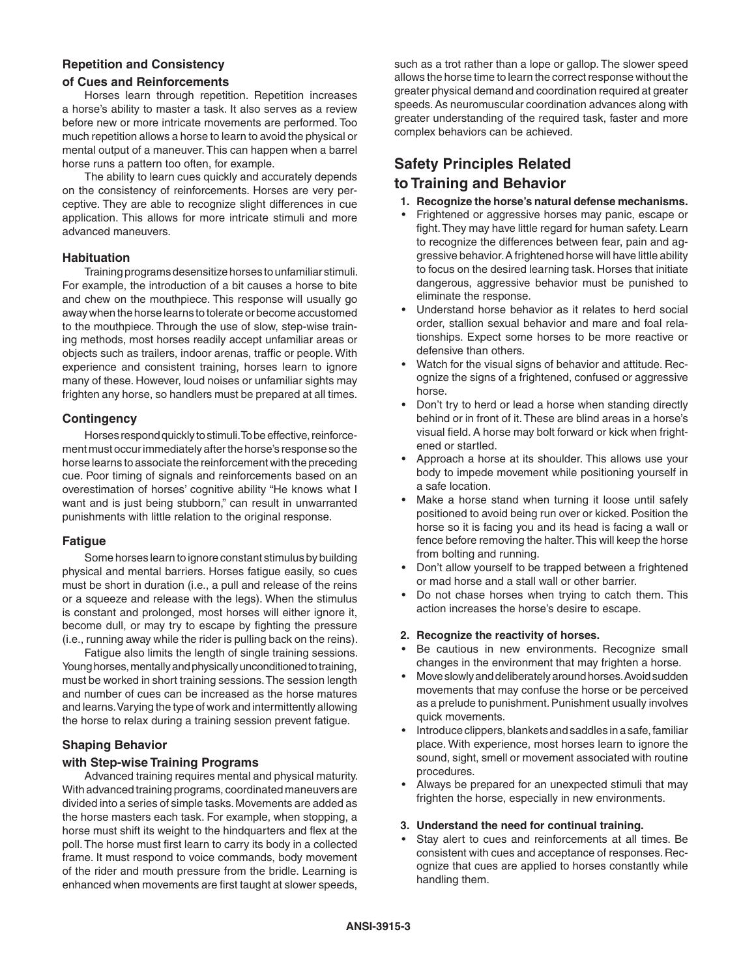# **Repetition and Consistency**

## **of Cues and Reinforcements**

Horses learn through repetition. Repetition increases a horse's ability to master a task. It also serves as a review before new or more intricate movements are performed. Too much repetition allows a horse to learn to avoid the physical or mental output of a maneuver. This can happen when a barrel horse runs a pattern too often, for example.

The ability to learn cues quickly and accurately depends on the consistency of reinforcements. Horses are very perceptive. They are able to recognize slight differences in cue application. This allows for more intricate stimuli and more advanced maneuvers.

## **Habituation**

Training programs desensitize horses to unfamiliar stimuli. For example, the introduction of a bit causes a horse to bite and chew on the mouthpiece. This response will usually go away when the horse learns to tolerate or become accustomed to the mouthpiece. Through the use of slow, step-wise training methods, most horses readily accept unfamiliar areas or objects such as trailers, indoor arenas, traffic or people. With experience and consistent training, horses learn to ignore many of these. However, loud noises or unfamiliar sights may frighten any horse, so handlers must be prepared at all times.

## **Contingency**

Horses respond quickly to stimuli. To be effective, reinforcement must occur immediately after the horse's response so the horse learns to associate the reinforcement with the preceding cue. Poor timing of signals and reinforcements based on an overestimation of horses' cognitive ability "He knows what I want and is just being stubborn," can result in unwarranted punishments with little relation to the original response.

## **Fatigue**

Some horses learn to ignore constant stimulus by building physical and mental barriers. Horses fatigue easily, so cues must be short in duration (i.e., a pull and release of the reins or a squeeze and release with the legs). When the stimulus is constant and prolonged, most horses will either ignore it, become dull, or may try to escape by fighting the pressure (i.e., running away while the rider is pulling back on the reins).

Fatigue also limits the length of single training sessions. Young horses, mentally and physically unconditioned to training, must be worked in short training sessions. The session length and number of cues can be increased as the horse matures and learns. Varying the type of work and intermittently allowing the horse to relax during a training session prevent fatigue.

## **Shaping Behavior**

## **with Step-wise Training Programs**

Advanced training requires mental and physical maturity. With advanced training programs, coordinated maneuvers are divided into a series of simple tasks. Movements are added as the horse masters each task. For example, when stopping, a horse must shift its weight to the hindquarters and flex at the poll. The horse must first learn to carry its body in a collected frame. It must respond to voice commands, body movement of the rider and mouth pressure from the bridle. Learning is enhanced when movements are first taught at slower speeds,

such as a trot rather than a lope or gallop. The slower speed allows the horse time to learn the correct response without the greater physical demand and coordination required at greater speeds. As neuromuscular coordination advances along with greater understanding of the required task, faster and more complex behaviors can be achieved.

# **Safety Principles Related**

## **to Training and Behavior**

- **1. Recognize the horse's natural defense mechanisms.**
- Frightened or aggressive horses may panic, escape or fight. They may have little regard for human safety. Learn to recognize the differences between fear, pain and aggressive behavior. A frightened horse will have little ability to focus on the desired learning task. Horses that initiate dangerous, aggressive behavior must be punished to eliminate the response.
- Understand horse behavior as it relates to herd social order, stallion sexual behavior and mare and foal relationships. Expect some horses to be more reactive or defensive than others.
- Watch for the visual signs of behavior and attitude. Recognize the signs of a frightened, confused or aggressive horse.
- Don't try to herd or lead a horse when standing directly behind or in front of it. These are blind areas in a horse's visual field. A horse may bolt forward or kick when frightened or startled.
- Approach a horse at its shoulder. This allows use your body to impede movement while positioning yourself in a safe location.
- Make a horse stand when turning it loose until safely positioned to avoid being run over or kicked. Position the horse so it is facing you and its head is facing a wall or fence before removing the halter. This will keep the horse from bolting and running.
- Don't allow yourself to be trapped between a frightened or mad horse and a stall wall or other barrier.
- Do not chase horses when trying to catch them. This action increases the horse's desire to escape.

#### **2. Recognize the reactivity of horses.**

- Be cautious in new environments. Recognize small changes in the environment that may frighten a horse.
- Move slowly and deliberately around horses. Avoid sudden movements that may confuse the horse or be perceived as a prelude to punishment. Punishment usually involves quick movements.
- Introduce clippers, blankets and saddles in a safe, familiar place. With experience, most horses learn to ignore the sound, sight, smell or movement associated with routine procedures.
- Always be prepared for an unexpected stimuli that may frighten the horse, especially in new environments.

#### **3. Understand the need for continual training.**

Stay alert to cues and reinforcements at all times. Be consistent with cues and acceptance of responses. Recognize that cues are applied to horses constantly while handling them.